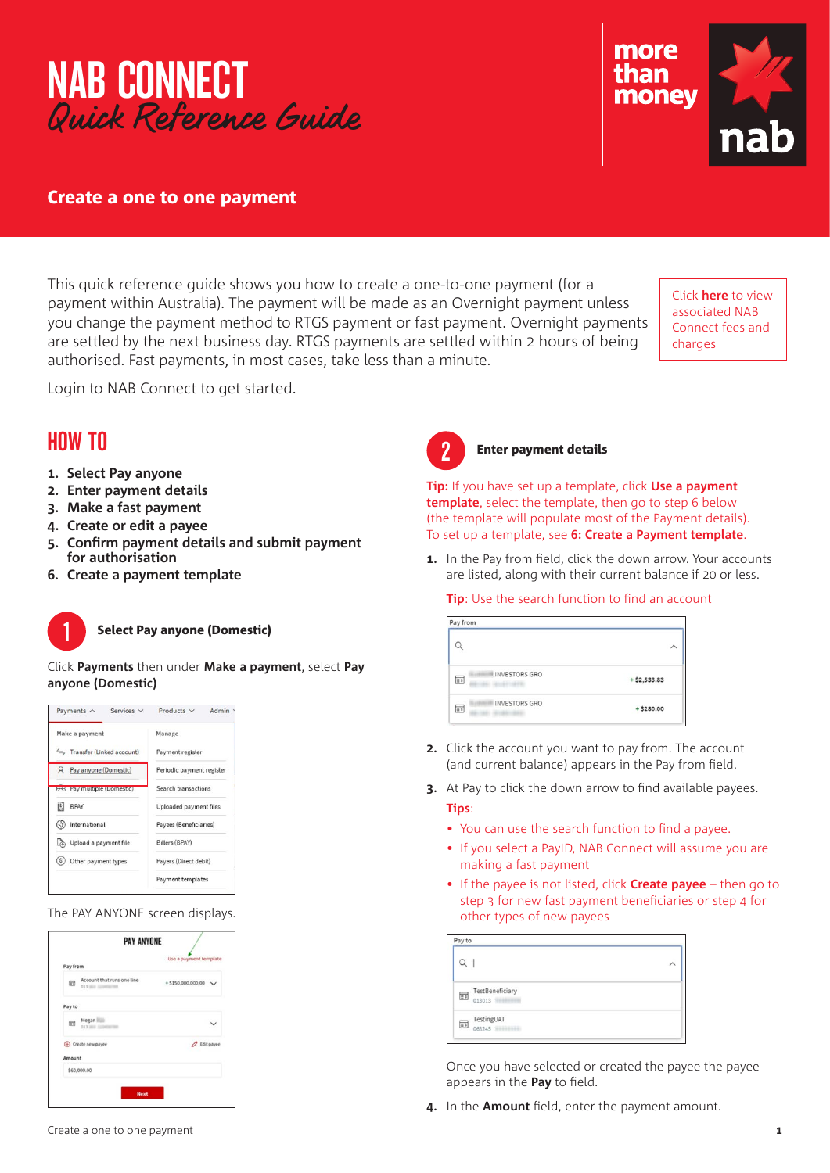



# Create a one to one payment

This quick reference guide shows you how to create a one-to-one payment (for a payment within Australia). The payment will be made as an Overnight payment unless you change the payment method to RTGS payment or fast payment. Overnight payments are settled by the next business day. RTGS payments are settled within 2 hours of being authorised. Fast payments, in most cases, take less than a minute.

Click **[here](https://www.nab.com.au/content/dam/nabrwd/documents/rates-and-fees/banking/nab-connect-fees-and-charges-schedule.pdf)** to view associated NAB Connect fees and charges

Login to NAB Connect to get started.

# HOW TO

- **1. Select Pay anyone**
- **2. Enter payment details**
- **3. Make a fast payment**
- **4. Create or edit a payee**
- **5. Confirm payment details and submit payment for authorisation**
- **6. Create a payment template**



# **Select Pay anyone (Domestic)**

Click **Payments** then under **Make a payment**, select **Pay anyone (Domestic)**



The PAY ANYONE screen displays.

|          |                                                 | <b>PAY ANYONE</b> |                                |  |
|----------|-------------------------------------------------|-------------------|--------------------------------|--|
| Pay from |                                                 |                   | Use a pryment template         |  |
| 团        | Account that runs one line<br>013 Mill Linemann |                   | $+ 5150,000,000.00 \quad \lor$ |  |
| Payto    |                                                 |                   |                                |  |
| 团        | Megan <b>III</b><br>013 WHY 535                 |                   |                                |  |
|          | + Create new payee                              |                   | <b><i>O</i></b> Edit payee     |  |
| Amount   |                                                 |                   |                                |  |
|          | \$60,000.00                                     |                   |                                |  |

#### **Enter payment details**

**Tip:** If you have set up a template, click **Use a payment template**, select the template, then go to step 6 below (the template will populate most of the Payment details). To set up a template, see **6: Create a Payment template**.

**1.** In the Pay from field, click the down arrow. Your accounts are listed, along with their current balance if 20 or less.

### **Tip**: Use the search function to find an account

| Pay from                     |               |  |  |  |
|------------------------------|---------------|--|--|--|
|                              |               |  |  |  |
| INVESTORS GRO<br>$\equiv$ \$ | $+ $2,533.83$ |  |  |  |
| <b>INVESTORS GRO</b><br>王    | $+ $280.00$   |  |  |  |

- **2.** Click the account you want to pay from. The account (and current balance) appears in the Pay from field.
- **3.** At Pay to click the down arrow to find available payees. **Tips**:
	- You can use the search function to find a payee.
	- If you select a PayID, NAB Connect will assume you are making a fast payment
	- If the payee is not listed, click **Create payee** then go to step 3 for new fast payment beneficiaries or step 4 for other types of new payees

| Pay to                                  |  |
|-----------------------------------------|--|
|                                         |  |
| TestBeneficiary<br>$\frac{1}{2}$ 013013 |  |
| TestingUAT<br>$\frac{1}{11}$ 063245     |  |

Once you have selected or created the payee the payee appears in the **Pay** to field.

**4.** In the **Amount** field, enter the payment amount.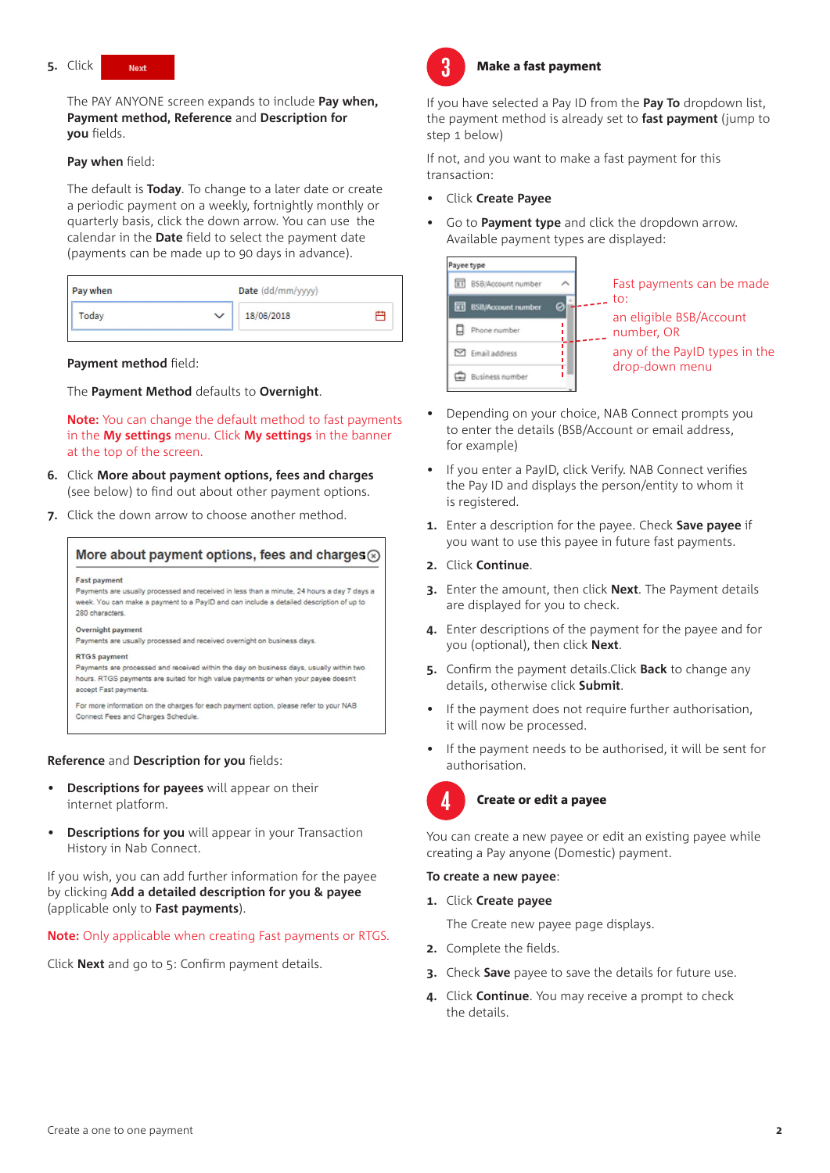

The PAY ANYONE screen expands to include **Pay when, Payment method, Reference** and **Description for you** fields.

### **Pay when** field:

The default is **Today**. To change to a later date or create a periodic payment on a weekly, fortnightly monthly or quarterly basis, click the down arrow. You can use the calendar in the **Date** field to select the payment date (payments can be made up to 90 days in advance).

| Pay when              | Date (dd/mm/yyyy) |
|-----------------------|-------------------|
| Today<br>$\checkmark$ | 18/06/2018        |

### **Payment method** field:

The **Payment Method** defaults to **Overnight**.

**Note:** You can change the default method to fast payments in the **My settings** menu. Click **My settings** in the banner at the top of the screen.

- **6.**  Click **More about payment options, fees and charges** (see below) to find out about other payment options.
- **7.** Click the down arrow to choose another method.



**Reference** and **Description for you** fields:

- **Descriptions for payees** will appear on their internet platform.
- **Descriptions for you** will appear in your Transaction History in Nab Connect.

If you wish, you can add further information for the payee by clicking **Add a detailed description for you & payee** (applicable only to **Fast payments**).

### **Note:** Only applicable when creating Fast payments or RTGS.

Click **Next** and go to 5: Confirm payment details.



### **Make a fast payment**

If you have selected a Pay ID from the **Pay To** dropdown list, the payment method is already set to **fast payment** (jump to step 1 below)

If not, and you want to make a fast payment for this transaction:

- Click **Create Payee**
- Go to **Payment type** and click the dropdown arrow. Available payment types are displayed:



- Depending on your choice, NAB Connect prompts you to enter the details (BSB/Account or email address, for example)
- If you enter a PayID, click Verify. NAB Connect verifies the Pay ID and displays the person/entity to whom it is registered.
- **1.** Enter a description for the payee. Check **Save payee** if you want to use this payee in future fast payments.
- **2.**  Click **Continue**.
- **3.** Enter the amount, then click **Next**. The Payment details are displayed for you to check.
- **4.** Enter descriptions of the payment for the payee and for you (optional), then click **Next**.
- **5.** Confirm the payment details.Click **Back** to change any details, otherwise click **Submit**.
- If the payment does not require further authorisation, it will now be processed.
- If the payment needs to be authorised, it will be sent for authorisation.



# Create or edit a payee

You can create a new payee or edit an existing payee while creating a Pay anyone (Domestic) payment.

# **To create a new payee**:

**1.**  Click **Create payee**

The Create new payee page displays.

- **2.** Complete the fields.
- **3.** Check **Save** payee to save the details for future use.
- **4.**  Click **Continue**. You may receive a prompt to check the details.